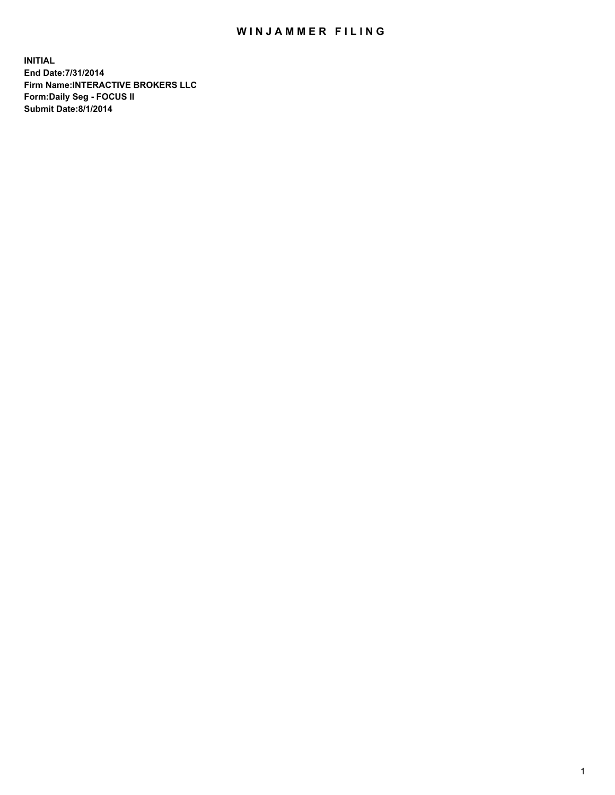# WIN JAMMER FILING

**INITIAL End Date:7/31/2014 Firm Name:INTERACTIVE BROKERS LLC Form:Daily Seg - FOCUS II Submit Date:8/1/2014**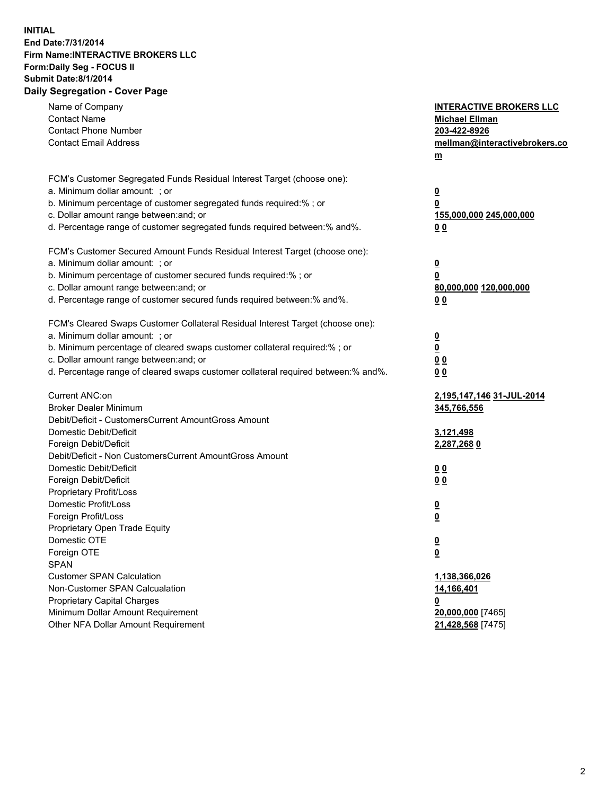## **INITIAL End Date:7/31/2014 Firm Name:INTERACTIVE BROKERS LLC Form:Daily Seg - FOCUS II Submit Date:8/1/2014 Daily Segregation - Cover Page**

| Name of Company<br><b>Contact Name</b><br><b>Contact Phone Number</b><br><b>Contact Email Address</b>                                                                                                                                                                                                                          | <b>INTERACTIVE BROKERS LLC</b><br><b>Michael Ellman</b><br>203-422-8926<br>mellman@interactivebrokers.co<br>$m$ |
|--------------------------------------------------------------------------------------------------------------------------------------------------------------------------------------------------------------------------------------------------------------------------------------------------------------------------------|-----------------------------------------------------------------------------------------------------------------|
| FCM's Customer Segregated Funds Residual Interest Target (choose one):<br>a. Minimum dollar amount: ; or<br>b. Minimum percentage of customer segregated funds required:% ; or<br>c. Dollar amount range between: and; or<br>d. Percentage range of customer segregated funds required between:% and%.                         | $\overline{\mathbf{0}}$<br>0<br>155,000,000 245,000,000<br>00                                                   |
| FCM's Customer Secured Amount Funds Residual Interest Target (choose one):<br>a. Minimum dollar amount: ; or<br>b. Minimum percentage of customer secured funds required:% ; or<br>c. Dollar amount range between: and; or<br>d. Percentage range of customer secured funds required between:% and%.                           | <u>0</u><br>0<br>80,000,000 120,000,000<br>00                                                                   |
| FCM's Cleared Swaps Customer Collateral Residual Interest Target (choose one):<br>a. Minimum dollar amount: ; or<br>b. Minimum percentage of cleared swaps customer collateral required:% ; or<br>c. Dollar amount range between: and; or<br>d. Percentage range of cleared swaps customer collateral required between:% and%. | $\overline{\mathbf{0}}$<br>$\underline{\mathbf{0}}$<br>0 <sub>0</sub><br>0 <sub>0</sub>                         |
| Current ANC:on<br><b>Broker Dealer Minimum</b><br>Debit/Deficit - CustomersCurrent AmountGross Amount<br>Domestic Debit/Deficit<br>Foreign Debit/Deficit                                                                                                                                                                       | <u>2,195,147,146 31-JUL-2014</u><br>345,766,556<br>3,121,498<br>2,287,268 0                                     |
| Debit/Deficit - Non CustomersCurrent AmountGross Amount<br>Domestic Debit/Deficit<br>Foreign Debit/Deficit<br>Proprietary Profit/Loss<br>Domestic Profit/Loss<br>Foreign Profit/Loss                                                                                                                                           | 0 <sub>0</sub><br>0 <sub>0</sub><br>$\overline{\mathbf{0}}$<br>$\underline{\mathbf{0}}$                         |
| Proprietary Open Trade Equity<br>Domestic OTE<br>Foreign OTE<br><b>SPAN</b><br><b>Customer SPAN Calculation</b><br>Non-Customer SPAN Calcualation                                                                                                                                                                              | $\underline{\mathbf{0}}$<br>$\underline{\mathbf{0}}$<br>1,138,366,026<br>14,166,401                             |
| <b>Proprietary Capital Charges</b><br>Minimum Dollar Amount Requirement<br>Other NFA Dollar Amount Requirement                                                                                                                                                                                                                 | <u>0</u><br>20,000,000 [7465]<br>21,428,568 [7475]                                                              |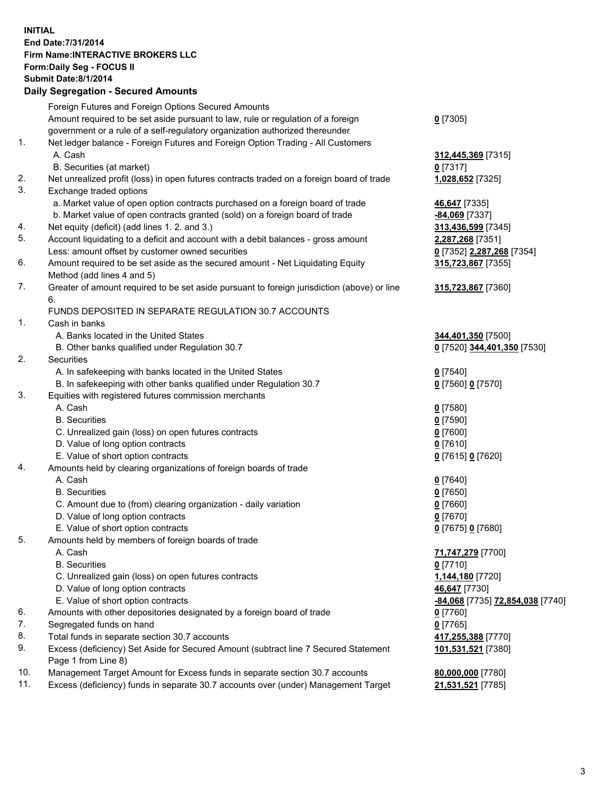#### **INITIAL End Date:7/31/2014 Firm Name:INTERACTIVE BROKERS LLC Form:Daily Seg - FOCUS II Submit Date:8/1/2014 Daily Segregation - Secured Amounts**

|     | Foreign Futures and Foreign Options Secured Amounts                                                        |                                  |
|-----|------------------------------------------------------------------------------------------------------------|----------------------------------|
|     | Amount required to be set aside pursuant to law, rule or regulation of a foreign                           | $0$ [7305]                       |
|     | government or a rule of a self-regulatory organization authorized thereunder                               |                                  |
| 1.  | Net ledger balance - Foreign Futures and Foreign Option Trading - All Customers                            |                                  |
|     | A. Cash                                                                                                    | 312,445,369 [7315]               |
|     | B. Securities (at market)                                                                                  | $0$ [7317]                       |
| 2.  | Net unrealized profit (loss) in open futures contracts traded on a foreign board of trade                  | 1,028,652 [7325]                 |
| 3.  | Exchange traded options                                                                                    |                                  |
|     | a. Market value of open option contracts purchased on a foreign board of trade                             | 46,647 [7335]                    |
|     | b. Market value of open contracts granted (sold) on a foreign board of trade                               | $-84,069$ [7337]                 |
| 4.  | Net equity (deficit) (add lines 1. 2. and 3.)                                                              | 313,436,599 [7345]               |
| 5.  | Account liquidating to a deficit and account with a debit balances - gross amount                          | 2,287,268 [7351]                 |
|     | Less: amount offset by customer owned securities                                                           | 0 [7352] 2,287,268 [7354]        |
| 6.  | Amount required to be set aside as the secured amount - Net Liquidating Equity                             | 315,723,867 [7355]               |
|     | Method (add lines 4 and 5)                                                                                 |                                  |
| 7.  | Greater of amount required to be set aside pursuant to foreign jurisdiction (above) or line                | 315,723,867 [7360]               |
|     | 6.                                                                                                         |                                  |
|     | FUNDS DEPOSITED IN SEPARATE REGULATION 30.7 ACCOUNTS                                                       |                                  |
| 1.  | Cash in banks                                                                                              |                                  |
|     | A. Banks located in the United States                                                                      | 344,401,350 [7500]               |
|     | B. Other banks qualified under Regulation 30.7                                                             | 0 [7520] 344,401,350 [7530]      |
| 2.  | Securities                                                                                                 |                                  |
|     | A. In safekeeping with banks located in the United States                                                  | $0$ [7540]                       |
|     | B. In safekeeping with other banks qualified under Regulation 30.7                                         | 0 [7560] 0 [7570]                |
| 3.  | Equities with registered futures commission merchants                                                      |                                  |
|     | A. Cash                                                                                                    | $0$ [7580]                       |
|     | <b>B.</b> Securities                                                                                       | $0$ [7590]                       |
|     | C. Unrealized gain (loss) on open futures contracts                                                        | $0$ [7600]                       |
|     | D. Value of long option contracts                                                                          | $0$ [7610]                       |
|     | E. Value of short option contracts                                                                         | 0 [7615] 0 [7620]                |
| 4.  | Amounts held by clearing organizations of foreign boards of trade                                          |                                  |
|     | A. Cash                                                                                                    | $0$ [7640]                       |
|     | <b>B.</b> Securities                                                                                       | $0$ [7650]                       |
|     | C. Amount due to (from) clearing organization - daily variation                                            | $0$ [7660]                       |
|     | D. Value of long option contracts                                                                          | $0$ [7670]                       |
|     | E. Value of short option contracts                                                                         | 0 [7675] 0 [7680]                |
| 5.  | Amounts held by members of foreign boards of trade                                                         |                                  |
|     | A. Cash                                                                                                    | 71,747,279 [7700]                |
|     | <b>B.</b> Securities                                                                                       | $0$ [7710]                       |
|     | C. Unrealized gain (loss) on open futures contracts                                                        | 1,144,180 [7720]                 |
|     | D. Value of long option contracts                                                                          | 46,647 [7730]                    |
|     | E. Value of short option contracts                                                                         | -84,068 [7735] 72,854,038 [7740] |
| 6.  | Amounts with other depositories designated by a foreign board of trade                                     | 0 [7760]                         |
| 7.  | Segregated funds on hand                                                                                   | $0$ [7765]                       |
| 8.  | Total funds in separate section 30.7 accounts                                                              | 417,255,388 [7770]               |
| 9.  | Excess (deficiency) Set Aside for Secured Amount (subtract line 7 Secured Statement<br>Page 1 from Line 8) | 101,531,521 [7380]               |
| 10. | Management Target Amount for Excess funds in separate section 30.7 accounts                                | 80,000,000 [7780]                |
| 11. | Excess (deficiency) funds in separate 30.7 accounts over (under) Management Target                         | 21,531,521 [7785]                |
|     |                                                                                                            |                                  |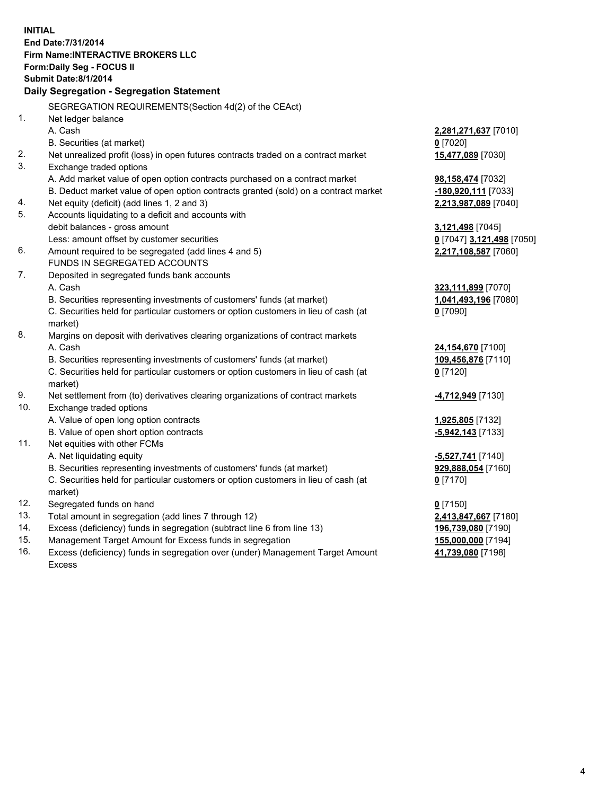**INITIAL End Date:7/31/2014 Firm Name:INTERACTIVE BROKERS LLC Form:Daily Seg - FOCUS II Submit Date:8/1/2014 Daily Segregation - Segregation Statement** SEGREGATION REQUIREMENTS(Section 4d(2) of the CEAct) 1. Net ledger balance A. Cash **2,281,271,637** [7010] B. Securities (at market) **0** [7020] 2. Net unrealized profit (loss) in open futures contracts traded on a contract market **15,477,089** [7030] 3. Exchange traded options A. Add market value of open option contracts purchased on a contract market **98,158,474** [7032] B. Deduct market value of open option contracts granted (sold) on a contract market **-180,920,111** [7033] 4. Net equity (deficit) (add lines 1, 2 and 3) **2,213,987,089** [7040] 5. Accounts liquidating to a deficit and accounts with debit balances - gross amount **3,121,498** [7045] Less: amount offset by customer securities **0** [7047] **3,121,498** [7050] 6. Amount required to be segregated (add lines 4 and 5) **2,217,108,587** [7060] FUNDS IN SEGREGATED ACCOUNTS 7. Deposited in segregated funds bank accounts A. Cash **323,111,899** [7070] B. Securities representing investments of customers' funds (at market) **1,041,493,196** [7080] C. Securities held for particular customers or option customers in lieu of cash (at market) **0** [7090] 8. Margins on deposit with derivatives clearing organizations of contract markets A. Cash **24,154,670** [7100] B. Securities representing investments of customers' funds (at market) **109,456,876** [7110] C. Securities held for particular customers or option customers in lieu of cash (at market) **0** [7120] 9. Net settlement from (to) derivatives clearing organizations of contract markets **-4,712,949** [7130] 10. Exchange traded options A. Value of open long option contracts **1,925,805** [7132] B. Value of open short option contracts **-5,942,143** [7133] 11. Net equities with other FCMs A. Net liquidating equity **-5,527,741** [7140] B. Securities representing investments of customers' funds (at market) **929,888,054** [7160] C. Securities held for particular customers or option customers in lieu of cash (at market) **0** [7170] 12. Segregated funds on hand **0** [7150] 13. Total amount in segregation (add lines 7 through 12) **2,413,847,667** [7180] 14. Excess (deficiency) funds in segregation (subtract line 6 from line 13) **196,739,080** [7190] 15. Management Target Amount for Excess funds in segregation **155,000,000** [7194]

16. Excess (deficiency) funds in segregation over (under) Management Target Amount Excess

**41,739,080** [7198]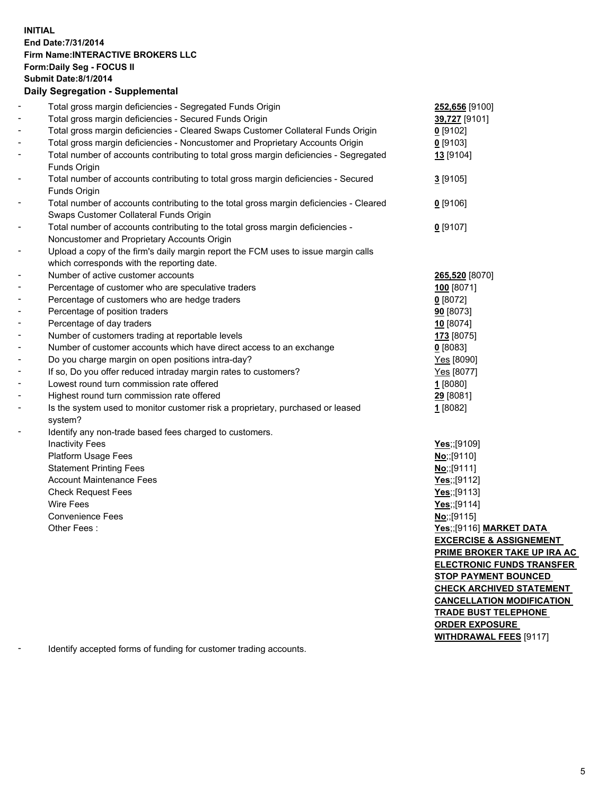#### **INITIAL End Date:7/31/2014 Firm Name:INTERACTIVE BROKERS LLC Form:Daily Seg - FOCUS II Submit Date:8/1/2014 Daily Segregation - Supplemental**

|                              | Daily Segregation - Supplemental                                                       |                                    |
|------------------------------|----------------------------------------------------------------------------------------|------------------------------------|
|                              | Total gross margin deficiencies - Segregated Funds Origin                              | 252,656 [9100]                     |
|                              | Total gross margin deficiencies - Secured Funds Origin                                 | 39,727 [9101]                      |
| $\blacksquare$               | Total gross margin deficiencies - Cleared Swaps Customer Collateral Funds Origin       | $0$ [9102]                         |
| $\blacksquare$               | Total gross margin deficiencies - Noncustomer and Proprietary Accounts Origin          | $0$ [9103]                         |
| $\overline{\phantom{a}}$     | Total number of accounts contributing to total gross margin deficiencies - Segregated  | 13 [9104]                          |
|                              | Funds Origin                                                                           |                                    |
| $\qquad \qquad \blacksquare$ | Total number of accounts contributing to total gross margin deficiencies - Secured     | 3[9105]                            |
|                              | Funds Origin                                                                           |                                    |
| $\blacksquare$               | Total number of accounts contributing to the total gross margin deficiencies - Cleared | $0$ [9106]                         |
|                              | Swaps Customer Collateral Funds Origin                                                 |                                    |
| $\qquad \qquad \blacksquare$ | Total number of accounts contributing to the total gross margin deficiencies -         | $0$ [9107]                         |
|                              | Noncustomer and Proprietary Accounts Origin                                            |                                    |
| $\qquad \qquad \blacksquare$ | Upload a copy of the firm's daily margin report the FCM uses to issue margin calls     |                                    |
|                              | which corresponds with the reporting date.                                             |                                    |
| $\blacksquare$               | Number of active customer accounts                                                     | 265,520 [8070]                     |
| $\overline{\phantom{a}}$     | Percentage of customer who are speculative traders                                     | 100 [8071]                         |
| $\blacksquare$               | Percentage of customers who are hedge traders                                          | 0[8072]                            |
| $\overline{\phantom{a}}$     | Percentage of position traders                                                         | 90 [8073]                          |
| $\overline{\phantom{a}}$     | Percentage of day traders                                                              | 10 [8074]                          |
| $\overline{\phantom{a}}$     | Number of customers trading at reportable levels                                       | 173 [8075]                         |
| $\blacksquare$               | Number of customer accounts which have direct access to an exchange                    | 0[8083]                            |
| $\overline{\phantom{a}}$     | Do you charge margin on open positions intra-day?                                      | Yes [8090]                         |
|                              | If so, Do you offer reduced intraday margin rates to customers?                        | Yes [8077]                         |
| $\overline{\phantom{a}}$     | Lowest round turn commission rate offered                                              | 1[8080]                            |
| $\overline{\phantom{a}}$     | Highest round turn commission rate offered                                             | 29 [8081]                          |
| $\overline{\phantom{a}}$     | Is the system used to monitor customer risk a proprietary, purchased or leased         | 1[8082]                            |
|                              | system?                                                                                |                                    |
| ۳                            | Identify any non-trade based fees charged to customers.                                |                                    |
|                              | <b>Inactivity Fees</b>                                                                 | Yes;;[9109]                        |
|                              | Platform Usage Fees                                                                    | No;;[9110]                         |
|                              | <b>Statement Printing Fees</b>                                                         | No;;[9111]                         |
|                              | <b>Account Maintenance Fees</b>                                                        | Yes;;[9112]                        |
|                              | <b>Check Request Fees</b>                                                              | Yes;;[9113]                        |
|                              | <b>Wire Fees</b>                                                                       | Yes;;[9114]                        |
|                              | <b>Convenience Fees</b>                                                                | No;;[9115]                         |
|                              | Other Fees:                                                                            | Yes;;[9116] MARKET DATA            |
|                              |                                                                                        | <b>EXCERCISE &amp; ASSIGNEMENT</b> |
|                              |                                                                                        | <u>PRIME BROKER TAKE UP IRA AC</u> |
|                              |                                                                                        | <b>ELECTRONIC FUNDS TRANSFER</b>   |
|                              |                                                                                        | <b>STOP PAYMENT BOUNCED</b>        |
|                              |                                                                                        | <b>CHECK ARCHIVED STATEMENT</b>    |
|                              |                                                                                        | <b>CANCELLATION MODIFICATION</b>   |
|                              |                                                                                        | <b>TRADE BUST TELEPHONE</b>        |
|                              |                                                                                        | <u>ORDER EXPOSURE</u>              |
|                              |                                                                                        | <b>WITHDRAWAL FEES [9117]</b>      |
|                              |                                                                                        |                                    |

- Identify accepted forms of funding for customer trading accounts.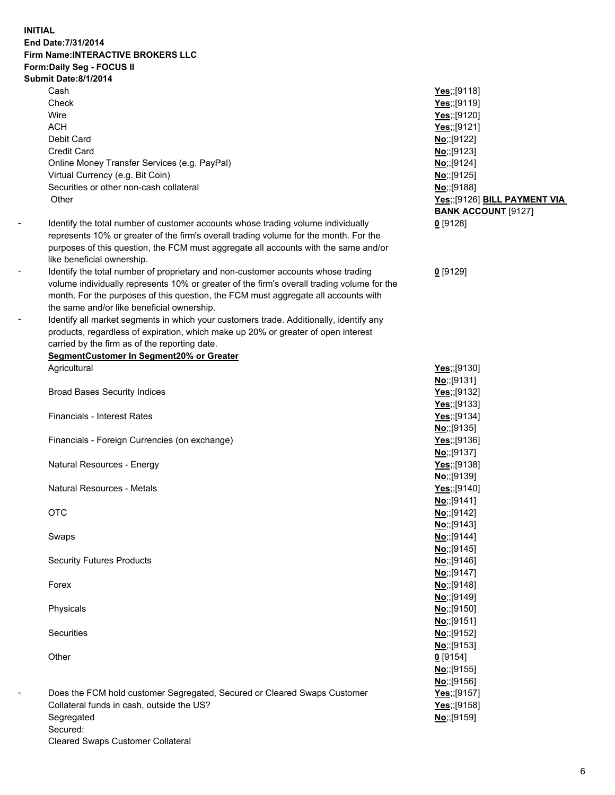**INITIAL End Date:7/31/2014 Firm Name:INTERACTIVE BROKERS LLC Form:Daily Seg - FOCUS II Submit Date:8/1/2014**

> Cash Check Wire **ACH** Debit Card Credit Card Online Money Transfer Services (e.g. PayPal) Virtual Currency (e.g. Bit Coin) Securities or other non-cash collateral **Other**

- Identify the total number of customer accounts whose trading volume individually represents 10% or greater of the firm's overall trading volume for the month. For the purposes of this question, the FCM must aggregate all accounts with the same and/or like beneficial ownership.
- Identify the total number of proprietary and non-customer accounts whose trading volume individually represents 10% or greater of the firm's overall trading volume for the month. For the purposes of this question, the FCM must aggregate all accounts with the same and/or like beneficial ownership.
	- Identify all market segments in which your customers trade. Additionally, identify any products, regardless of expiration, which make up 20% or greater of open interest carried by the firm as of the reporting date.

## **SegmentCustomer In Segment20% or Greater** Agricultural **Yes**;;[9130]

Broad Bases Security Indices **Yes**;;[9132]

Financials - Interest Rates **Yes**;;[9134]

- Financials Foreign Currencies (on exchange) **Yes**;;[9136]
- Natural Resources Energy **Yes**;;[9138]

Natural Resources - Metals **Yes**;;[9140]

Security Futures Products **No**;;[9146]

- Does the FCM hold customer Segregated, Secured or Cleared Swaps Customer Collateral funds in cash, outside the US? Segregated Secured: Cleared Swaps Customer Collateral

**Yes**;;[9118] **Yes**;;[9119] **Yes**;;[9120] **Yes**;;[9121] **No**;;[9122] **No**;;[9123] **No**;;[9124] **No**;;[9125] **No**;;[9188] **Yes**;;[9126] **BILL PAYMENT VIA BANK ACCOUNT** [9127] **0** [9128]

**0** [9129]

**No**;;[9131] **Yes**;;[9133] **No**;;[9135] **No**;;[9137] **No**;;[9139] **No**;;[9141] OTC **No**;;[9142] **No**;;[9143] Swaps **No**;;[9144] **No**;;[9145] **No**;;[9147] Forex **No**;;[9148] **No**;;[9149] Physicals **No**;;[9150] **No**;;[9151] Securities **No**;;[9152] **No**;;[9153] Other **0** [9154] **No**;;[9155] **No**;;[9156] **Yes**;;[9157] **Yes**;;[9158] **No**;;[9159]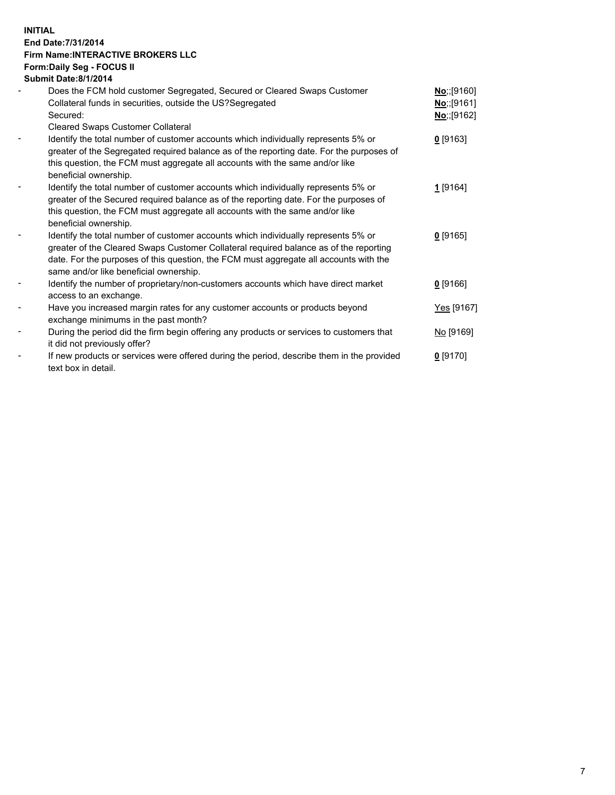### **INITIAL End Date:7/31/2014 Firm Name:INTERACTIVE BROKERS LLC Form:Daily Seg - FOCUS II Submit Date:8/1/2014**

| Does the FCM hold customer Segregated, Secured or Cleared Swaps Customer<br>No;;[9160]<br>Collateral funds in securities, outside the US?Segregated<br><u>No;;[</u> 9161]<br>Secured:<br>No: [9162]<br><b>Cleared Swaps Customer Collateral</b><br>Identify the total number of customer accounts which individually represents 5% or<br>$0$ [9163]<br>greater of the Segregated required balance as of the reporting date. For the purposes of<br>this question, the FCM must aggregate all accounts with the same and/or like<br>beneficial ownership.<br>Identify the total number of customer accounts which individually represents 5% or<br>1 <sup>[9164]</sup><br>greater of the Secured required balance as of the reporting date. For the purposes of<br>this question, the FCM must aggregate all accounts with the same and/or like |  |
|------------------------------------------------------------------------------------------------------------------------------------------------------------------------------------------------------------------------------------------------------------------------------------------------------------------------------------------------------------------------------------------------------------------------------------------------------------------------------------------------------------------------------------------------------------------------------------------------------------------------------------------------------------------------------------------------------------------------------------------------------------------------------------------------------------------------------------------------|--|
|                                                                                                                                                                                                                                                                                                                                                                                                                                                                                                                                                                                                                                                                                                                                                                                                                                                |  |
|                                                                                                                                                                                                                                                                                                                                                                                                                                                                                                                                                                                                                                                                                                                                                                                                                                                |  |
| beneficial ownership.                                                                                                                                                                                                                                                                                                                                                                                                                                                                                                                                                                                                                                                                                                                                                                                                                          |  |
| Identify the total number of customer accounts which individually represents 5% or<br>$0$ [9165]<br>greater of the Cleared Swaps Customer Collateral required balance as of the reporting<br>date. For the purposes of this question, the FCM must aggregate all accounts with the<br>same and/or like beneficial ownership.                                                                                                                                                                                                                                                                                                                                                                                                                                                                                                                   |  |
| Identify the number of proprietary/non-customers accounts which have direct market<br>$0$ [9166]<br>access to an exchange.                                                                                                                                                                                                                                                                                                                                                                                                                                                                                                                                                                                                                                                                                                                     |  |
| Have you increased margin rates for any customer accounts or products beyond<br>Yes [9167]<br>exchange minimums in the past month?                                                                                                                                                                                                                                                                                                                                                                                                                                                                                                                                                                                                                                                                                                             |  |
| During the period did the firm begin offering any products or services to customers that<br><u>No</u> [9169]<br>it did not previously offer?                                                                                                                                                                                                                                                                                                                                                                                                                                                                                                                                                                                                                                                                                                   |  |
| If new products or services were offered during the period, describe them in the provided<br><u>0</u> [9170]<br>text box in detail.                                                                                                                                                                                                                                                                                                                                                                                                                                                                                                                                                                                                                                                                                                            |  |